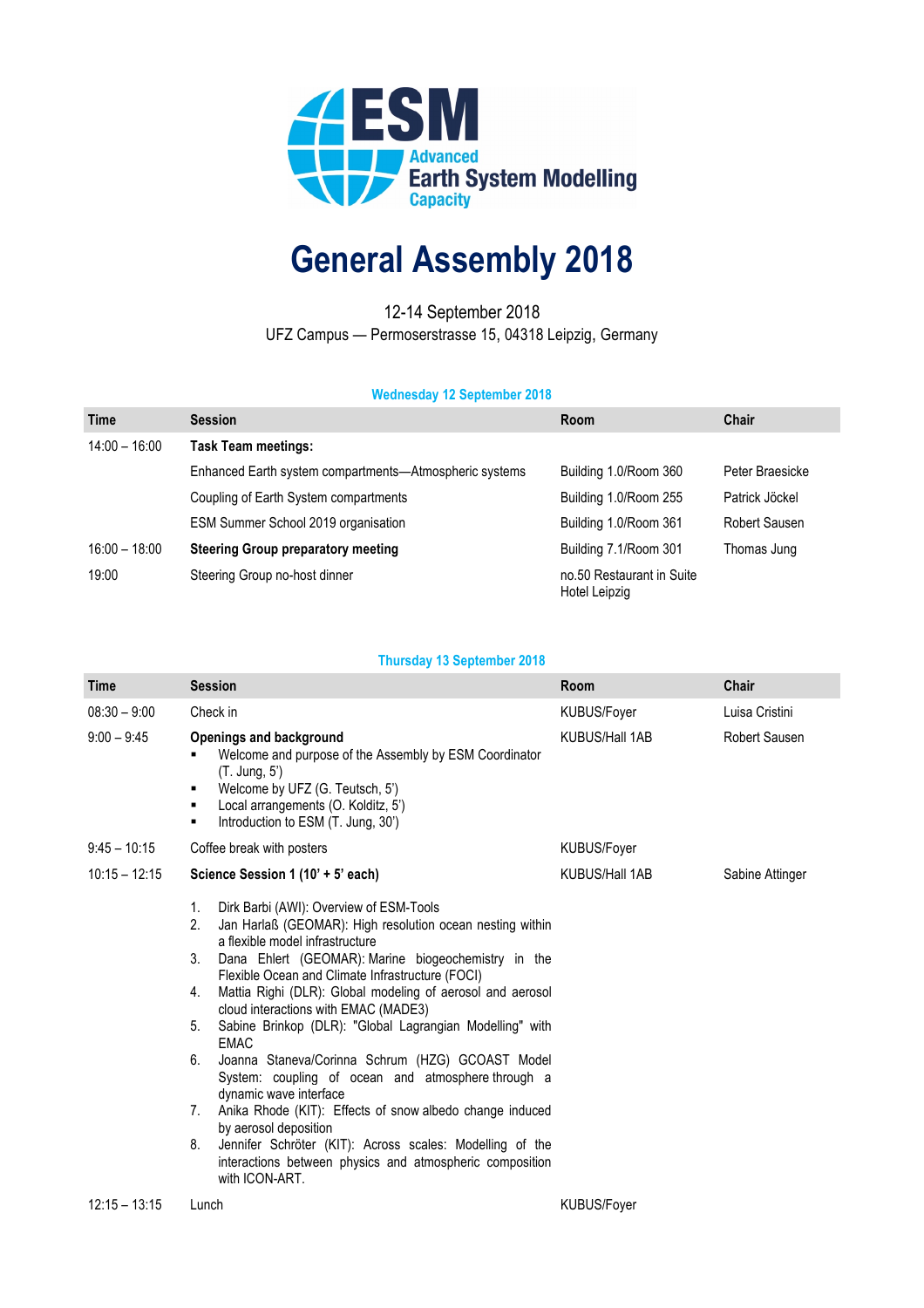

## **General Assembly 2018**

12-14 September 2018 UFZ Campus — Permoserstrasse 15, 04318 Leipzig, Germany

## **Wednesday 12 September 2018**

| <b>Time</b>     | <b>Session</b>                                         | Room                                       | Chair           |
|-----------------|--------------------------------------------------------|--------------------------------------------|-----------------|
| $14:00 - 16:00$ | <b>Task Team meetings:</b>                             |                                            |                 |
|                 | Enhanced Earth system compartments-Atmospheric systems | Building 1.0/Room 360                      | Peter Braesicke |
|                 | Coupling of Earth System compartments                  | Building 1.0/Room 255                      | Patrick Jöckel  |
|                 | ESM Summer School 2019 organisation                    | Building 1.0/Room 361                      | Robert Sausen   |
| $16:00 - 18:00$ | <b>Steering Group preparatory meeting</b>              | Building 7.1/Room 301                      | Thomas Jung     |
| 19:00           | Steering Group no-host dinner                          | no.50 Restaurant in Suite<br>Hotel Leipzig |                 |

## **Thursday 13 September 2018**

| Time            | <b>Session</b>                                                                                                                                                                                                                                                                                                                                                                                                                                                                                                                                                                                                                                                                                                                                                                                                                                         | Room                  | Chair                |
|-----------------|--------------------------------------------------------------------------------------------------------------------------------------------------------------------------------------------------------------------------------------------------------------------------------------------------------------------------------------------------------------------------------------------------------------------------------------------------------------------------------------------------------------------------------------------------------------------------------------------------------------------------------------------------------------------------------------------------------------------------------------------------------------------------------------------------------------------------------------------------------|-----------------------|----------------------|
| $08:30 - 9:00$  | Check in                                                                                                                                                                                                                                                                                                                                                                                                                                                                                                                                                                                                                                                                                                                                                                                                                                               | KUBUS/Foyer           | Luisa Cristini       |
| $9:00 - 9:45$   | <b>Openings and background</b><br>Welcome and purpose of the Assembly by ESM Coordinator<br>(T. Jung, 5')<br>Welcome by UFZ (G. Teutsch, 5')<br>Local arrangements (O. Kolditz, 5')<br>Introduction to ESM (T. Jung, 30')<br>٠                                                                                                                                                                                                                                                                                                                                                                                                                                                                                                                                                                                                                         | <b>KUBUS/Hall 1AB</b> | <b>Robert Sausen</b> |
| $9:45 - 10:15$  | Coffee break with posters                                                                                                                                                                                                                                                                                                                                                                                                                                                                                                                                                                                                                                                                                                                                                                                                                              | KUBUS/Foyer           |                      |
| $10:15 - 12:15$ | Science Session 1 (10' + 5' each)                                                                                                                                                                                                                                                                                                                                                                                                                                                                                                                                                                                                                                                                                                                                                                                                                      | <b>KUBUS/Hall 1AB</b> | Sabine Attinger      |
|                 | Dirk Barbi (AWI): Overview of ESM-Tools<br>1.<br>2.<br>Jan Harlaß (GEOMAR): High resolution ocean nesting within<br>a flexible model infrastructure<br>Dana Ehlert (GEOMAR): Marine biogeochemistry in the<br>3.<br>Flexible Ocean and Climate Infrastructure (FOCI)<br>Mattia Righi (DLR): Global modeling of aerosol and aerosol<br>4.<br>cloud interactions with EMAC (MADE3)<br>Sabine Brinkop (DLR): "Global Lagrangian Modelling" with<br>5.<br><b>EMAC</b><br>Joanna Staneva/Corinna Schrum (HZG) GCOAST Model<br>6.<br>System: coupling of ocean and atmosphere through a<br>dynamic wave interface<br>Anika Rhode (KIT): Effects of snow albedo change induced<br>7.<br>by aerosol deposition<br>8.<br>Jennifer Schröter (KIT): Across scales: Modelling of the<br>interactions between physics and atmospheric composition<br>with ICON-ART. |                       |                      |